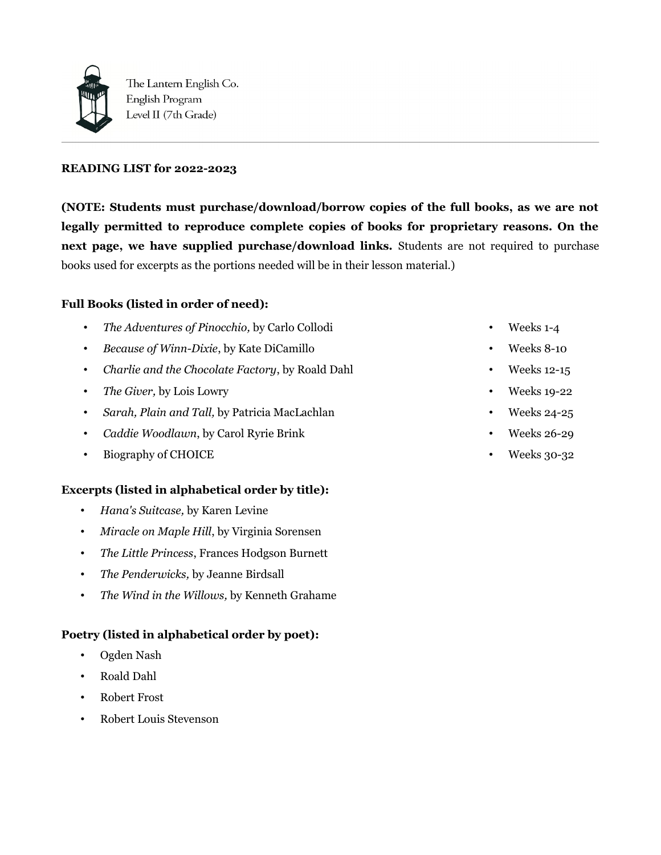

The Lantern English Co. English Program Level II (7th Grade)

### **READING LIST for 2022-2023**

**(NOTE: Students must purchase/download/borrow copies of the full books, as we are not legally permitted to reproduce complete copies of books for proprietary reasons. On the next page, we have supplied purchase/download links.** Students are not required to purchase books used for excerpts as the portions needed will be in their lesson material.)

# **Full Books (listed in order of need):**

- *The Adventures of Pinocchio,* by Carlo Collodi
- *Because of Winn-Dixie*, by Kate DiCamillo
- *Charlie and the Chocolate Factory*, by Roald Dahl
- *The Giver,* by Lois Lowry
- *Sarah, Plain and Tall,* by Patricia MacLachlan
- *Caddie Woodlawn*, by Carol Ryrie Brink
- Biography of CHOICE

#### **Excerpts (listed in alphabetical order by title):**

- *Hana's Suitcase,* by Karen Levine
- *Miracle on Maple Hill*, by Virginia Sorensen
- *The Little Princess*, Frances Hodgson Burnett
- *The Penderwicks,* by Jeanne Birdsall
- *The Wind in the Willows,* by Kenneth Grahame

#### **Poetry (listed in alphabetical order by poet):**

- Ogden Nash
- Roald Dahl
- Robert Frost
- Robert Louis Stevenson
- Weeks 1-4
- Weeks 8-10
- Weeks 12-15
- Weeks 19-22
- Weeks 24-25
- Weeks 26-29
- Weeks 30-32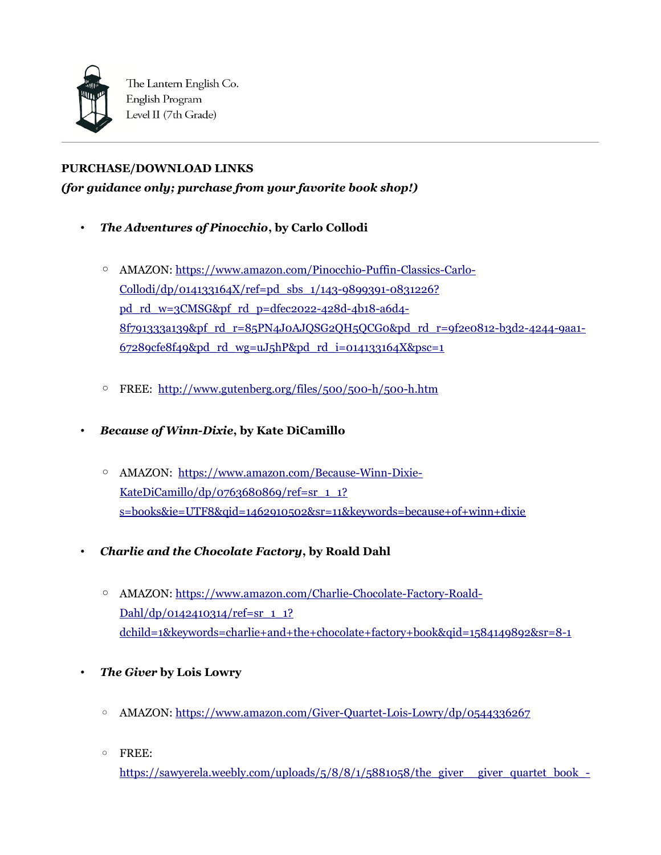

The Lantern English Co. English Program Level II (7th Grade)

# **PURCHASE/DOWNLOAD LINKS**

*(for guidance only; purchase from your favorite book shop!)*

- *The Adventures of Pinocchio***, by Carlo Collodi** 
	- AMAZON: [https://www.amazon.com/Pinocchio-Puffin-Classics-Carlo-](https://www.amazon.com/Pinocchio-Puffin-Classics-Carlo-Collodi/dp/014133164X/ref=pd_sbs_1/143-9899391-0831226?pd_rd_w=3CMSG&pf_rd_p=dfec2022-428d-4b18-a6d4-8f791333a139&pf_rd_r=85PN4J0AJQSG2QH5QCG0&pd_rd_r=9f2e0812-b3d2-4244-9aa1-67289cfe8f49&pd_rd_wg=uJ5hP&pd_rd_i=014133164X&psc=1)Collodi/dp/014133164X/ref=pd\_sbs\_1/143-9899391-0831226? pd\_rd\_w=3CMSG&pf\_rd\_p=dfec2022-428d-4b18-a6d4- [8f791333a139&pf\\_rd\\_r=85PN4J0AJQSG2QH5QCG0&pd\\_rd\\_r=9f2e0812-b3d2-4244-9aa1-](https://www.amazon.com/Pinocchio-Puffin-Classics-Carlo-Collodi/dp/014133164X/ref=pd_sbs_1/143-9899391-0831226?pd_rd_w=3CMSG&pf_rd_p=dfec2022-428d-4b18-a6d4-8f791333a139&pf_rd_r=85PN4J0AJQSG2QH5QCG0&pd_rd_r=9f2e0812-b3d2-4244-9aa1-67289cfe8f49&pd_rd_wg=uJ5hP&pd_rd_i=014133164X&psc=1)  $67289cfe8f49&ydrd$   $wg=uJ5hP&pdrd$   $r d$   $i=014133164X&pc=1$
	- FREE: <http://www.gutenberg.org/files/500/500-h/500-h.htm>
- *Because of Winn-Dixie***, by Kate DiCamillo** 
	- AMAZON: [https://www.amazon.com/Because-Winn-Dixie-](https://www.amazon.com/Because-Winn-Dixie-KateDiCamillo/dp/0763680869/ref=sr_1_1?s=books&ie=UTF8&qid=1462910502&sr=11&keywords=because+of+winn+dixie)[KateDiCamillo/dp/0763680869/ref=sr\\_1\\_1?](https://www.amazon.com/Because-Winn-Dixie-KateDiCamillo/dp/0763680869/ref=sr_1_1?s=books&ie=UTF8&qid=1462910502&sr=11&keywords=because+of+winn+dixie) [s=books&ie=UTF8&qid=1462910502&sr=11&keywords=because+of+winn+dixie](https://www.amazon.com/Because-Winn-Dixie-KateDiCamillo/dp/0763680869/ref=sr_1_1?s=books&ie=UTF8&qid=1462910502&sr=11&keywords=because+of+winn+dixie)
- *Charlie and the Chocolate Factory***, by Roald Dahl** 
	- AMAZON: [https://www.amazon.com/Charlie-Chocolate-Factory-Roald-](https://www.amazon.com/Charlie-Chocolate-Factory-Roald-Dahl/dp/0142410314/ref=sr_1_1?dchild=1&keywords=charlie+and+the+chocolate+factory+book&qid=1584149892&sr=8-1)[Dahl/dp/0142410314/ref=sr\\_1\\_1?](https://www.amazon.com/Charlie-Chocolate-Factory-Roald-Dahl/dp/0142410314/ref=sr_1_1?dchild=1&keywords=charlie+and+the+chocolate+factory+book&qid=1584149892&sr=8-1) [dchild=1&keywords=charlie+and+the+chocolate+factory+book&qid=1584149892&sr=8-1](https://www.amazon.com/Charlie-Chocolate-Factory-Roald-Dahl/dp/0142410314/ref=sr_1_1?dchild=1&keywords=charlie+and+the+chocolate+factory+book&qid=1584149892&sr=8-1)
- *The Giver* **by Lois Lowry**
	- AMAZON:<https://www.amazon.com/Giver-Quartet-Lois-Lowry/dp/0544336267>
	- FREE:

https://sawyerela.weebly.com/uploads/5/8/8/1/5881058/the\_giver\_giver\_quartet\_book\_-